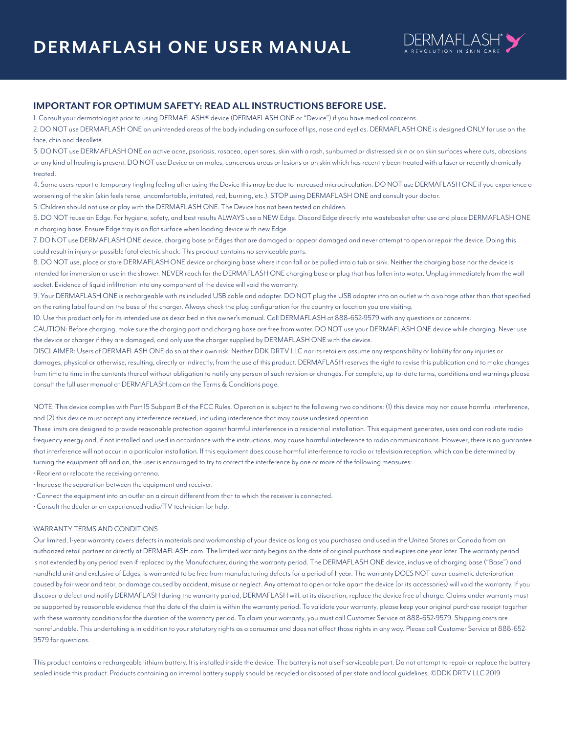

## **IMPORTANT FOR OPTIMUM SAFETY: READ ALL INSTRUCTIONS BEFORE USE.**

1. Consult your dermatologist prior to using DERMAFLASH® device (DERMAFLASH ONE or "Device") if you have medical concerns.

2. DO NOT use DERMAFLASH ONE on unintended areas of the body including on surface of lips, nose and eyelids. DERMAFLASH ONE is designed ONLY for use on the face, chin and décolleté.

3. DO NOT use DERMAFLASH ONE on active acne, psoriasis, rosacea, open sores, skin with a rash, sunburned or distressed skin or on skin surfaces where cuts, abrasions or any kind of healing is present. DO NOT use Device or on moles, cancerous areas or lesions or on skin which has recently been treated with a laser or recently chemically treated.

4. Some users report a temporary tingling feeling after using the Device this may be due to increased microcirculation. DO NOT use DERMAFLASH ONE if you experience a worsening of the skin (skin feels tense, uncomfortable, irritated, red, burning, etc.). STOP using DERMAFLASH ONE and consult your doctor.

5. Children should not use or play with the DERMAFLASH ONE. The Device has not been tested on children.

6. DO NOT reuse an Edge. For hygiene, safety, and best results ALWAYS use a NEW Edge. Discard Edge directly into wastebasket after use and place DERMAFLASH ONE in charging base. Ensure Edge tray is on flat surface when loading device with new Edge.

7. DO NOT use DERMAFLASH ONE device, charging base or Edges that are damaged or appear damaged and never attempt to open or repair the device. Doing this could result in injury or possible fatal electric shock. This product contains no serviceable parts.

8. DO NOT use, place or store DERMAFLASH ONE device or charging base where it can fall or be pulled into a tub or sink. Neither the charging base nor the device is intended for immersion or use in the shower. NEVER reach for the DERMAFLASH ONE charging base or plug that has fallen into water. Unplug immediately from the wall socket. Evidence of liquid infiltration into any component of the device will void the warranty.

9. Your DERMAFLASH ONE is rechargeable with its included USB cable and adapter. DO NOT plug the USB adapter into an outlet with a voltage other than that specified on the rating label found on the base of the charger. Always check the plug configuration for the country or location you are visiting.

10. Use this product only for its intended use as described in this owner's manual. Call DERMAFLASH at 888-652-9579 with any questions or concerns.

CAUTION: Before charging, make sure the charging port and charging base are free from water. DO NOT use your DERMAFLASH ONE device while charging. Never use the device or charger if they are damaged, and only use the charger supplied by DERMAFLASH ONE with the device.

DISCLAIMER: Users of DERMAFLASH ONE do so at their own risk. Neither DDK DRTV LLC nor its retailers assume any responsibility or liability for any injuries or damages, physical or otherwise, resulting, directly or indirectly, from the use of this product. DERMAFLASH reserves the right to revise this publication and to make changes from time to time in the contents thereof without obligation to notify any person of such revision or changes. For complete, up-to-date terms, conditions and warnings please consult the full user manual at DERMAFLASH.com on the Terms & Conditions page.

NOTE: This device complies with Part 15 Subpart B of the FCC Rules. Operation is subject to the following two conditions: (1) this device may not cause harmful interference, and (2) this device must accept any interference received, including interference that may cause undesired operation.

These limits are designed to provide reasonable protection against harmful interference in a residential installation. This equipment generates, uses and can radiate radio frequency energy and, if not installed and used in accordance with the instructions, may cause harmful interference to radio communications. However, there is no guarantee that interference will not occur in a particular installation. If this equipment does cause harmful interference to radio or television reception, which can be determined by turning the equipment off and on, the user is encouraged to try to correct the interference by one or more of the following measures:

• Reorient or relocate the receiving antenna.

- Increase the separation between the equipment and receiver.
- Connect the equipment into an outlet on a circuit different from that to which the receiver is connected.
- Consult the dealer or an experienced radio/TV technician for help.

#### WARRANTY TERMS AND CONDITIONS

Our limited, 1-year warranty covers defects in materials and workmanship of your device as long as you purchased and used in the United States or Canada from an authorized retail partner or directly at DERMAFLASH.com. The limited warranty begins on the date of original purchase and expires one year later. The warranty period is not extended by any period even if replaced by the Manufacturer, during the warranty period. The DERMAFLASH ONE device, inclusive of charging base ("Base") and handheld unit and exclusive of Edges, is warranted to be free from manufacturing defects for a period of 1-year. The warranty DOES NOT cover cosmetic deterioration caused by fair wear and tear, or damage caused by accident, misuse or neglect. Any attempt to open or take apart the device (or its accessories) will void the warranty. If you discover a defect and notify DERMAFLASH during the warranty period, DERMAFLASH will, at its discretion, replace the device free of charge. Claims under warranty must be supported by reasonable evidence that the date of the claim is within the warranty period. To validate your warranty, please keep your original purchase receipt together with these warranty conditions for the duration of the warranty period. To claim your warranty, you must call Customer Service at 888-652-9579. Shipping costs are nonrefundable. This undertaking is in addition to your statutory rights as a consumer and does not affect those rights in any way. Please call Customer Service at 888-652- 9579 for questions.

This product contains a rechargeable lithium battery. It is installed inside the device. The battery is not a self-serviceable part. Do not attempt to repair or replace the battery sealed inside this product. Products containing an internal battery supply should be recycled or disposed of per state and local guidelines. ©DDK DRTV LLC 2019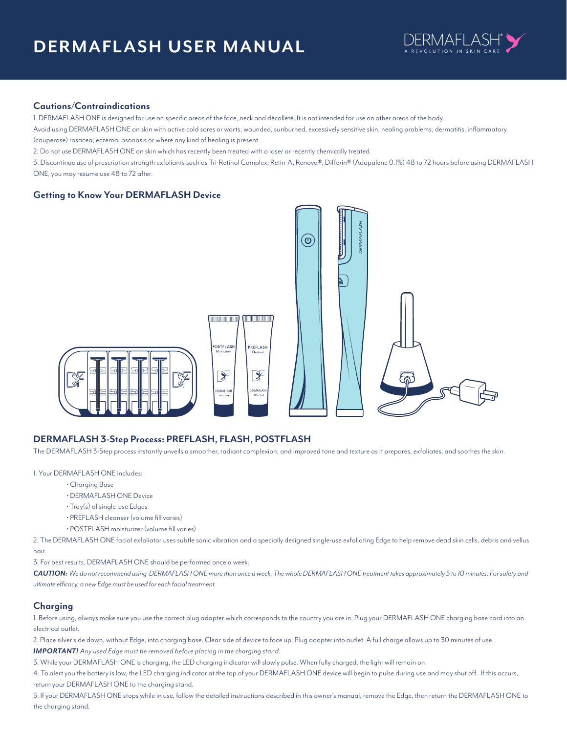

## **Cautions/Contraindications**

1. DERMAFLASH ONE is designed for use on specific areas of the face, neck and décolleté. It is not intended for use on other areas of the body.

Avoid using DERMAFLASH ONE on skin with active cold sores or warts, wounded, sunburned, excessively sensitive skin, healing problems, dermatitis, inflammatory (couperose) rosacea, eczema, psoriasis or where any kind of healing is present.

2. Do not use DERMAFLASH ONE on skin which has recently been treated with a laser or recently chemically treated.

3. Discontinue use of prescription strength exfoliants such as Tri-Retinol Complex, Retin-A, Renova®, Differin® (Adapalene 0.1%) 48 to 72 hours before using DERMAFLASH ONE, you may resume use 48 to 72 after.

## **Getting to Know Your DERMAFLASH Device**



## **DERMAFLASH 3-Step Process: PREFLASH, FLASH, POSTFLASH**

The DERMAFLASH 3-Step process instantly unveils a smoother, radiant complexion, and improved tone and texture as it prepares, exfoliates, and soothes the skin.

#### 1. Your DERMAFLASH ONE includes:

- Charging Base
- DERMAFLASH ONE Device
- Tray(s) of single-use Edges
- PREFLASH cleanser (volume fill varies)
- POSTFLASH moisturizer (volume fill varies)

2. The DERMAFLASH ONE facial exfoliator uses subtle sonic vibration and a specially designed single-use exfoliating Edge to help remove dead skin cells, debris and vellus hair.

3. For best results, DERMAFLASH ONE should be performed once a week.

*CAUTION: We do not recommend using DERMAFLASH ONE more than once a week. The whole DERMAFLASH ONE treatment takes approximately 5 to 10 minutes. For safety and ultimate efficacy, a new Edge must be used for each facial treatment.*

## **Charging**

1. Before using, always make sure you use the correct plug adapter which corresponds to the country you are in. Plug your DERMAFLASH ONE charging base cord into an electrical outlet.

2. Place silver side down, without Edge, into charging base. Clear side of device to face up. Plug adapter into outlet. A full charge allows up to 30 minutes of use. *IMPORTANT! Any used Edge must be removed before placing in the charging stand.*

3. While your DERMAFLASH ONE is charging, the LED charging indicator will slowly pulse. When fully charged, the light will remain on.

4. To alert you the battery is low, the LED charging indicator at the top of your DERMAFLASH ONE device will begin to pulse during use and may shut off. If this occurs, return your DERMAFLASH ONE to the charging stand.

5. If your DERMAFLASH ONE stops while in use, follow the detailed instructions described in this owner's manual, remove the Edge, then return the DERMAFLASH ONE to the charging stand.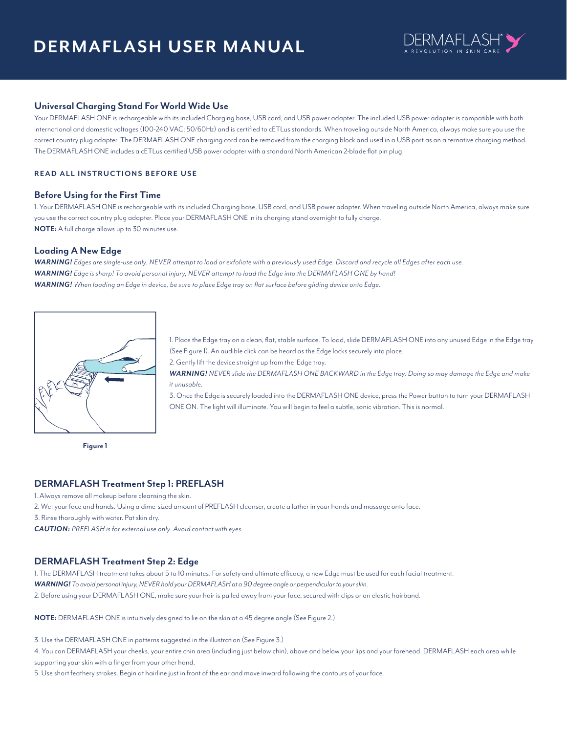# **DERMAFLASH USER MANUAL**



## **Universal Charging Stand For World Wide Use**

Your DERMAFLASH ONE is rechargeable with its included Charging base, USB cord, and USB power adapter. The included USB power adapter is compatible with both international and domestic voltages (100-240 VAC; 50/60Hz) and is certified to cETLus standards. When traveling outside North America, always make sure you use the correct country plug adapter. The DERMAFLASH ONE charging cord can be removed from the charging block and used in a USB port as an alternative charging method. The DERMAFLASH ONE includes a cETLus certified USB power adapter with a standard North American 2-blade flat pin plug.

## **READ ALL INSTRUCTIONS BEFORE USE**

#### **Before Using for the First Time**

1. Your DERMAFLASH ONE is rechargeable with its included Charging base, USB cord, and USB power adapter. When traveling outside North America, always make sure you use the correct country plug adapter. Place your DERMAFLASH ONE in its charging stand overnight to fully charge. **NOTE:** A full charge allows up to 30 minutes use.

## **Loading A New Edge**

*WARNING! Edges are single-use only. NEVER attempt to load or exfoliate with a previously used Edge. Discard and recycle all Edges after each use. WARNING! Edge is sharp! To avoid personal injury, NEVER attempt to load the Edge into the DERMAFLASH ONE by hand! WARNING! When loading an Edge in device, be sure to place Edge tray on flat surface before gliding device onto Edge.* 



**Figure 1**

1. Place the Edge tray on a clean, flat, stable surface. To load, slide DERMAFLASH ONE into any unused Edge in the Edge tray (See Figure 1). An audible click can be heard as the Edge locks securely into place.

2. Gently lift the device straight up from the Edge tray.

*WARNING! NEVER slide the DERMAFLASH ONE BACKWARD in the Edge tray. Doing so may damage the Edge and make it unusable.*

3. Once the Edge is securely loaded into the DERMAFLASH ONE device, press the Power button to turn your DERMAFLASH ONE ON. The light will illuminate. You will begin to feel a subtle, sonic vibration. This is normal.

## **DERMAFLASH Treatment Step 1: PREFLASH**

1. Always remove all makeup before cleansing the skin.

2. Wet your face and hands. Using a dime-sized amount of PREFLASH cleanser, create a lather in your hands and massage onto face.

3. Rinse thoroughly with water. Pat skin dry.

*CAUTION: PREFLASH is for external use only. Avoid contact with eyes.*

## **DERMAFLASH Treatment Step 2: Edge**

1. The DERMAFLASH treatment takes about 5 to 10 minutes. For safety and ultimate efficacy, a new Edge must be used for each facial treatment. *WARNING! To avoid personal injury, NEVER hold your DERMAFLASH at a 90 degree angle or perpendicular to your skin.*

2. Before using your DERMAFLASH ONE, make sure your hair is pulled away from your face, secured with clips or an elastic hairband.

**NOTE:** DERMAFLASH ONE is intuitively designed to lie on the skin at a 45 degree angle (See Figure 2.)

3. Use the DERMAFLASH ONE in patterns suggested in the illustration (See Figure 3.)

4. You can DERMAFLASH your cheeks, your entire chin area (including just below chin), above and below your lips and your forehead. DERMAFLASH each area while supporting your skin with a finger from your other hand.

5. Use short feathery strokes. Begin at hairline just in front of the ear and move inward following the contours of your face.